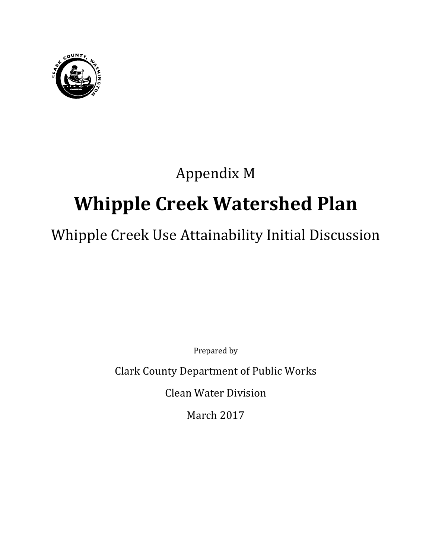

## Appendix M

# **Whipple Creek Watershed Plan**

## Whipple Creek Use Attainability Initial Discussion

Prepared by

Clark County Department of Public Works

Clean Water Division

March 2017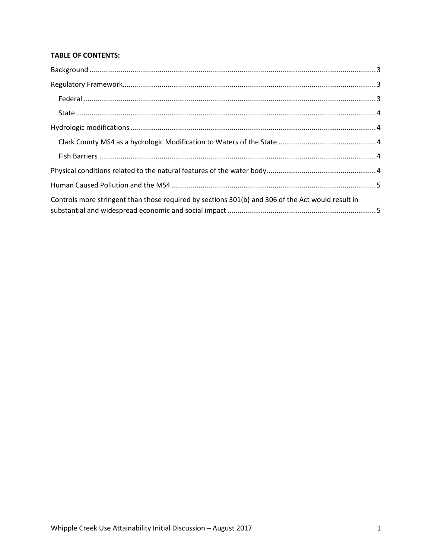#### **TABLE OF CONTENTS:**

| Controls more stringent than those required by sections 301(b) and 306 of the Act would result in |  |
|---------------------------------------------------------------------------------------------------|--|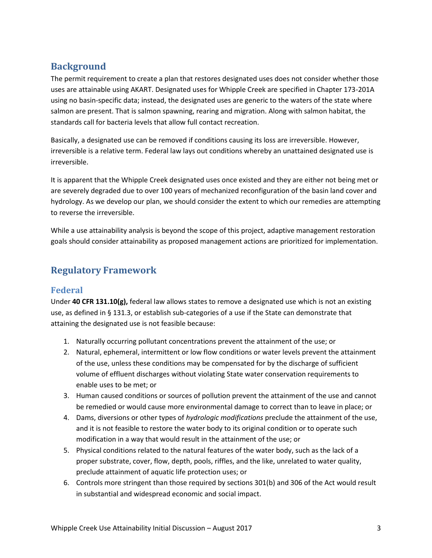## <span id="page-4-0"></span>**Background**

The permit requirement to create a plan that restores designated uses does not consider whether those uses are attainable using AKART. Designated uses for Whipple Creek are specified in Chapter 173-201A using no basin-specific data; instead, the designated uses are generic to the waters of the state where salmon are present. That is salmon spawning, rearing and migration. Along with salmon habitat, the standards call for bacteria levels that allow full contact recreation.

Basically, a designated use can be removed if conditions causing its loss are irreversible. However, irreversible is a relative term. Federal law lays out conditions whereby an unattained designated use is irreversible.

It is apparent that the Whipple Creek designated uses once existed and they are either not being met or are severely degraded due to over 100 years of mechanized reconfiguration of the basin land cover and hydrology. As we develop our plan, we should consider the extent to which our remedies are attempting to reverse the irreversible.

While a use attainability analysis is beyond the scope of this project, adaptive management restoration goals should consider attainability as proposed management actions are prioritized for implementation.

## <span id="page-4-1"></span>**Regulatory Framework**

#### <span id="page-4-2"></span>**Federal**

Under **40 CFR 131.10(g),** federal law allows states to remove a designated use which is not an existing use, as defined in § 131.3, or establish sub-categories of a use if the State can demonstrate that attaining the designated use is not feasible because:

- 1. Naturally occurring pollutant concentrations prevent the attainment of the use; or
- 2. Natural, ephemeral, intermittent or low flow conditions or water levels prevent the attainment of the use, unless these conditions may be compensated for by the discharge of sufficient volume of effluent discharges without violating State water conservation requirements to enable uses to be met; or
- 3. Human caused conditions or sources of pollution prevent the attainment of the use and cannot be remedied or would cause more environmental damage to correct than to leave in place; or
- 4. Dams, diversions or other types of *hydrologic modifications* preclude the attainment of the use, and it is not feasible to restore the water body to its original condition or to operate such modification in a way that would result in the attainment of the use; or
- 5. Physical conditions related to the natural features of the water body, such as the lack of a proper substrate, cover, flow, depth, pools, riffles, and the like, unrelated to water quality, preclude attainment of aquatic life protection uses; or
- 6. Controls more stringent than those required by sections 301(b) and 306 of the Act would result in substantial and widespread economic and social impact.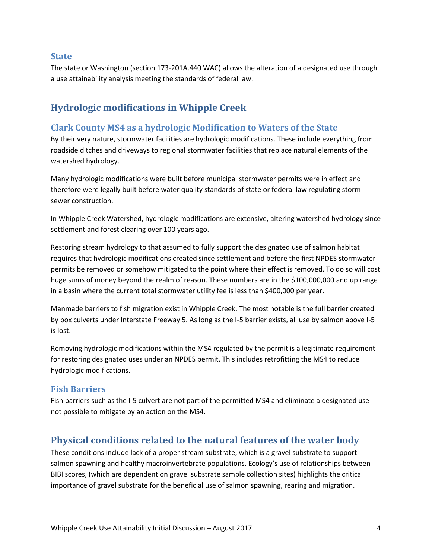#### <span id="page-5-0"></span>**State**

<span id="page-5-1"></span>The state or Washington (section 173-201A.440 WAC) allows the alteration of a designated use through a use attainability analysis meeting the standards of federal law.

## **Hydrologic modifications in Whipple Creek**

#### <span id="page-5-2"></span>**Clark County MS4 as a hydrologic Modification to Waters of the State**

By their very nature, stormwater facilities are hydrologic modifications. These include everything from roadside ditches and driveways to regional stormwater facilities that replace natural elements of the watershed hydrology.

Many hydrologic modifications were built before municipal stormwater permits were in effect and therefore were legally built before water quality standards of state or federal law regulating storm sewer construction.

In Whipple Creek Watershed, hydrologic modifications are extensive, altering watershed hydrology since settlement and forest clearing over 100 years ago.

Restoring stream hydrology to that assumed to fully support the designated use of salmon habitat requires that hydrologic modifications created since settlement and before the first NPDES stormwater permits be removed or somehow mitigated to the point where their effect is removed. To do so will cost huge sums of money beyond the realm of reason. These numbers are in the \$100,000,000 and up range in a basin where the current total stormwater utility fee is less than \$400,000 per year.

Manmade barriers to fish migration exist in Whipple Creek. The most notable is the full barrier created by box culverts under Interstate Freeway 5. As long as the I-5 barrier exists, all use by salmon above I-5 is lost.

Removing hydrologic modifications within the MS4 regulated by the permit is a legitimate requirement for restoring designated uses under an NPDES permit. This includes retrofitting the MS4 to reduce hydrologic modifications.

#### <span id="page-5-3"></span>**Fish Barriers**

Fish barriers such as the I-5 culvert are not part of the permitted MS4 and eliminate a designated use not possible to mitigate by an action on the MS4.

### <span id="page-5-4"></span>**Physical conditions related to the natural features of the water body**

These conditions include lack of a proper stream substrate, which is a gravel substrate to support salmon spawning and healthy macroinvertebrate populations. Ecology's use of relationships between BIBI scores, (which are dependent on gravel substrate sample collection sites) highlights the critical importance of gravel substrate for the beneficial use of salmon spawning, rearing and migration.